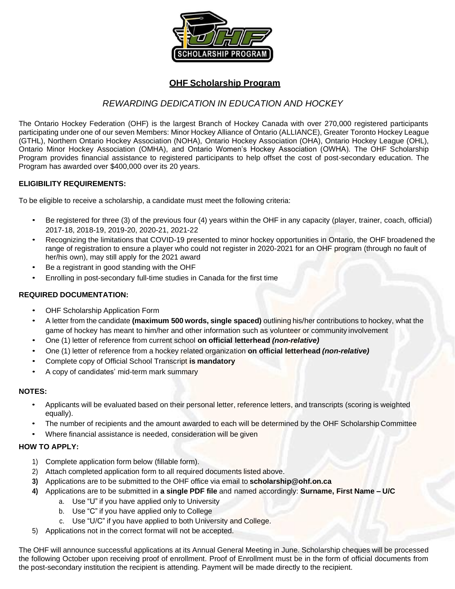

## **OHF Scholarship Program**

# *REWARDING DEDICATION IN EDUCATION AND HOCKEY*

The Ontario Hockey Federation (OHF) is the largest Branch of Hockey Canada with over 270,000 registered participants participating underone of our seven Members: Minor Hockey Alliance of Ontario [\(ALLIANCE\),](http://www.alliancehockey.com/) Greater [Toronto](http://www.gthlcanada.com/) Hockey [League](http://www.gthlcanada.com/) [\(GTHL\),](http://www.gthlcanada.com/) [Northern Ontario Hockey Association \(NOHA\),](http://www.noha.on.ca/) [Ontario Hockey Association \(OHA\), O](http://www.ohahockey.org/)ntario [Hockey League \(OHL\),](http://www.ontariohockeyleague.com/) [Ontario Minor Hockey Association \(OMHA\),](http://www.omha.net/) and [Ontario Women's Hockey Association \(OWHA\).](http://www.owha.on.ca/) The OHF Scholarship Program provides financial assistance to registered participants to help offset the cost of post-secondary education. The Program has awarded over \$400,000 over its 20 years.

### **ELIGIBILITY REQUIREMENTS:**

To be eligible to receive a scholarship, a candidate must meet the following criteria:

- Be registered for three (3) of the previous four (4) years within the OHF in any capacity (player, trainer, coach, official) 2017-18, 2018-19, 2019-20, 2020-21, 2021-22
- Recognizing the limitations that COVID-19 presented to minor hockey opportunities in Ontario, the OHF broadened the range of registration to ensure a player who could not register in 2020-2021 for an OHF program (through no fault of her/his own), may still apply for the 2021 award
- Be a registrant in good standing with the OHF
- Enrolling in post-secondary full-time studies in Canada for the first time

### **REQUIRED DOCUMENTATION:**

- OHF Scholarship Application Form
- A letter from thecandidate **(maximum 500 words, single spaced)** outlininghis/her contributions to hockey, what the game of hockey has meant to him/her and other information such as volunteer or community involvement
- One (1) letter of reference from current school **on official letterhead** *(non-relative)*
- One (1) letter of reference from a hockey related organization **on official letterhead** *(non-relative)*
- Complete copy of Official School Transcript **is mandatory**
- A copy of candidates' mid-term mark summary

#### **NOTES:**

- Applicants will be evaluated based on their personal letter, reference letters, and transcripts (scoring is weighted equally).
- The number of recipients and the amount awarded to each will be determined by the OHF Scholarship Committee
- Where financial assistance is needed, consideration will be given

#### **HOW TO APPLY:**

- 1) Complete application form below (fillable form).
- 2) Attach completed application form to all required documents listed above.
- **3)** Applications are to be submitted to the OHF office via email to **[scholarship@ohf.on.ca](mailto:scholarship@ohf.on.ca)**
- **4)** Applications are to be submitted in **a single PDF file** and named accordingly: **Surname, First Name – U/C**
	- a. Use "U" if you have applied only to University
	- b. Use "C" if you have applied only to College
	- c. Use "U/C" if you have applied to both University and College.
- 5) Applications not in the correct format will not be accepted.

The OHF will announce successful applications at its Annual General Meeting in June. Scholarship cheques will be processed the following October upon receiving proof of enrollment. Proof of Enrollment must be in the form of official documents from the post-secondary institution the recipient is attending. Payment will be made directly to the recipient.